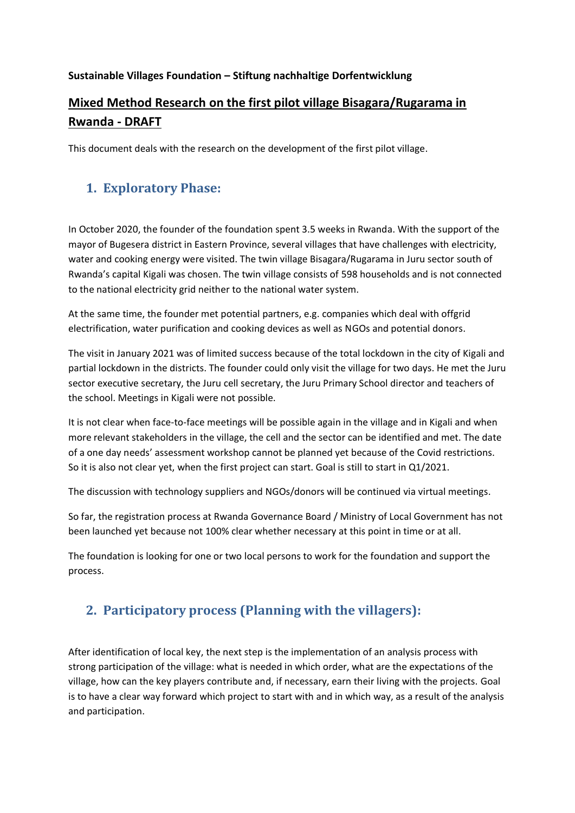### **Sustainable Villages Foundation – Stiftung nachhaltige Dorfentwicklung**

# **Mixed Method Research on the first pilot village Bisagara/Rugarama in Rwanda - DRAFT**

This document deals with the research on the development of the first pilot village.

### **1. Exploratory Phase:**

In October 2020, the founder of the foundation spent 3.5 weeks in Rwanda. With the support of the mayor of Bugesera district in Eastern Province, several villages that have challenges with electricity, water and cooking energy were visited. The twin village Bisagara/Rugarama in Juru sector south of Rwanda's capital Kigali was chosen. The twin village consists of 598 households and is not connected to the national electricity grid neither to the national water system.

At the same time, the founder met potential partners, e.g. companies which deal with offgrid electrification, water purification and cooking devices as well as NGOs and potential donors.

The visit in January 2021 was of limited success because of the total lockdown in the city of Kigali and partial lockdown in the districts. The founder could only visit the village for two days. He met the Juru sector executive secretary, the Juru cell secretary, the Juru Primary School director and teachers of the school. Meetings in Kigali were not possible.

It is not clear when face-to-face meetings will be possible again in the village and in Kigali and when more relevant stakeholders in the village, the cell and the sector can be identified and met. The date of a one day needs' assessment workshop cannot be planned yet because of the Covid restrictions. So it is also not clear yet, when the first project can start. Goal is still to start in Q1/2021.

The discussion with technology suppliers and NGOs/donors will be continued via virtual meetings.

So far, the registration process at Rwanda Governance Board / Ministry of Local Government has not been launched yet because not 100% clear whether necessary at this point in time or at all.

The foundation is looking for one or two local persons to work for the foundation and support the process.

## **2. Participatory process (Planning with the villagers):**

After identification of local key, the next step is the implementation of an analysis process with strong participation of the village: what is needed in which order, what are the expectations of the village, how can the key players contribute and, if necessary, earn their living with the projects. Goal is to have a clear way forward which project to start with and in which way, as a result of the analysis and participation.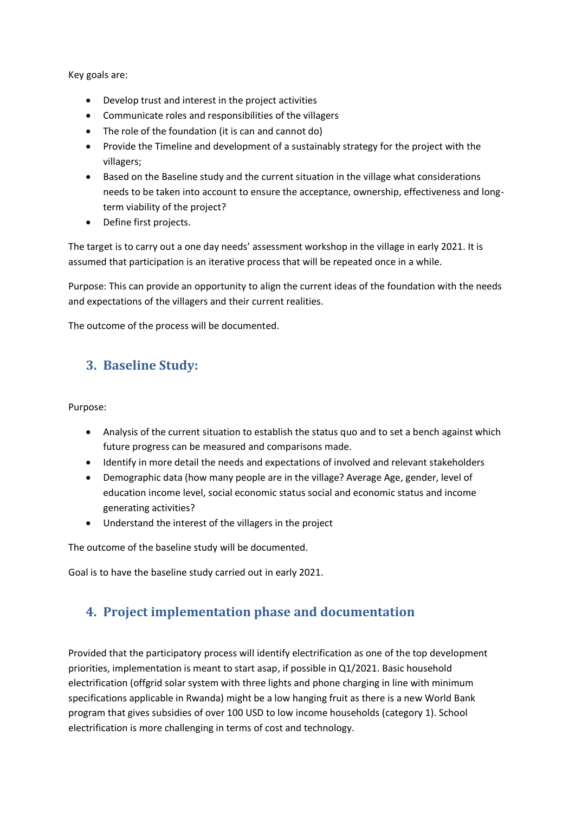Key goals are:

- Develop trust and interest in the project activities
- Communicate roles and responsibilities of the villagers
- The role of the foundation (it is can and cannot do)
- Provide the Timeline and development of a sustainably strategy for the project with the villagers;
- Based on the Baseline study and the current situation in the village what considerations needs to be taken into account to ensure the acceptance, ownership, effectiveness and longterm viability of the project?
- Define first projects.

The target is to carry out a one day needs' assessment workshop in the village in early 2021. It is assumed that participation is an iterative process that will be repeated once in a while.

Purpose: This can provide an opportunity to align the current ideas of the foundation with the needs and expectations of the villagers and their current realities.

The outcome of the process will be documented.

### **3. Baseline Study:**

Purpose:

- Analysis of the current situation to establish the status quo and to set a bench against which future progress can be measured and comparisons made.
- Identify in more detail the needs and expectations of involved and relevant stakeholders
- Demographic data (how many people are in the village? Average Age, gender, level of education income level, social economic status social and economic status and income generating activities?
- Understand the interest of the villagers in the project

The outcome of the baseline study will be documented.

Goal is to have the baseline study carried out in early 2021.

## **4. Project implementation phase and documentation**

Provided that the participatory process will identify electrification as one of the top development priorities, implementation is meant to start asap, if possible in Q1/2021. Basic household electrification (offgrid solar system with three lights and phone charging in line with minimum specifications applicable in Rwanda) might be a low hanging fruit as there is a new World Bank program that gives subsidies of over 100 USD to low income households (category 1). School electrification is more challenging in terms of cost and technology.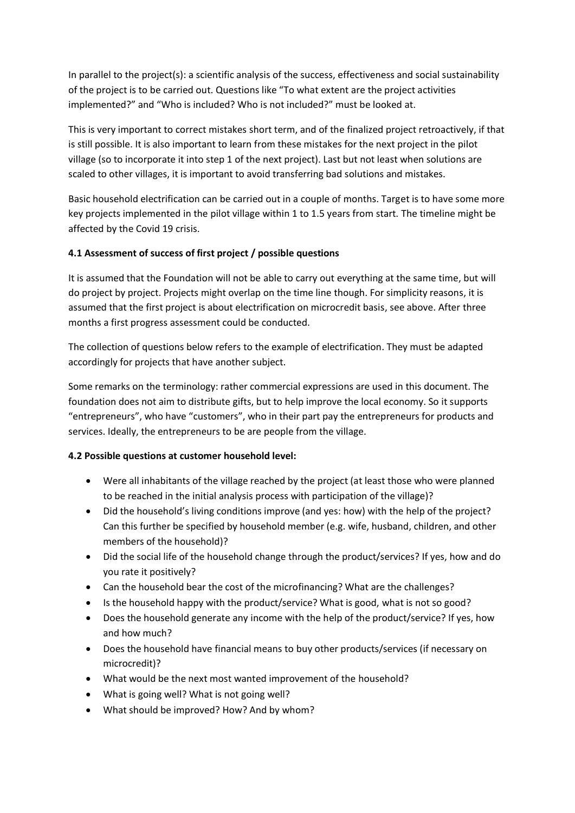In parallel to the project(s): a scientific analysis of the success, effectiveness and social sustainability of the project is to be carried out. Questions like "To what extent are the project activities implemented?" and "Who is included? Who is not included?" must be looked at.

This is very important to correct mistakes short term, and of the finalized project retroactively, if that is still possible. It is also important to learn from these mistakes for the next project in the pilot village (so to incorporate it into step 1 of the next project). Last but not least when solutions are scaled to other villages, it is important to avoid transferring bad solutions and mistakes.

Basic household electrification can be carried out in a couple of months. Target is to have some more key projects implemented in the pilot village within 1 to 1.5 years from start. The timeline might be affected by the Covid 19 crisis.

### **4.1 Assessment of success of first project / possible questions**

It is assumed that the Foundation will not be able to carry out everything at the same time, but will do project by project. Projects might overlap on the time line though. For simplicity reasons, it is assumed that the first project is about electrification on microcredit basis, see above. After three months a first progress assessment could be conducted.

The collection of questions below refers to the example of electrification. They must be adapted accordingly for projects that have another subject.

Some remarks on the terminology: rather commercial expressions are used in this document. The foundation does not aim to distribute gifts, but to help improve the local economy. So it supports "entrepreneurs", who have "customers", who in their part pay the entrepreneurs for products and services. Ideally, the entrepreneurs to be are people from the village.

#### **4.2 Possible questions at customer household level:**

- Were all inhabitants of the village reached by the project (at least those who were planned to be reached in the initial analysis process with participation of the village)?
- Did the household's living conditions improve (and yes: how) with the help of the project? Can this further be specified by household member (e.g. wife, husband, children, and other members of the household)?
- Did the social life of the household change through the product/services? If yes, how and do you rate it positively?
- Can the household bear the cost of the microfinancing? What are the challenges?
- Is the household happy with the product/service? What is good, what is not so good?
- Does the household generate any income with the help of the product/service? If yes, how and how much?
- Does the household have financial means to buy other products/services (if necessary on microcredit)?
- What would be the next most wanted improvement of the household?
- What is going well? What is not going well?
- What should be improved? How? And by whom?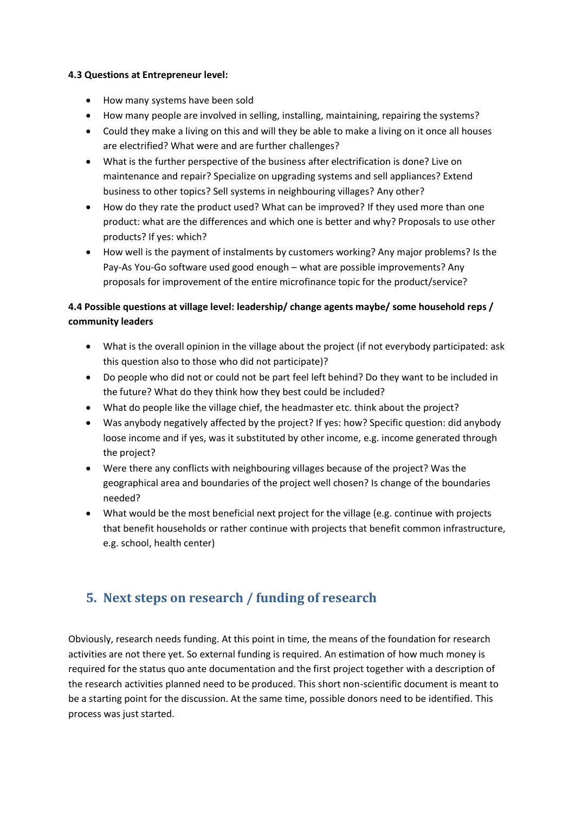#### **4.3 Questions at Entrepreneur level:**

- How many systems have been sold
- How many people are involved in selling, installing, maintaining, repairing the systems?
- Could they make a living on this and will they be able to make a living on it once all houses are electrified? What were and are further challenges?
- What is the further perspective of the business after electrification is done? Live on maintenance and repair? Specialize on upgrading systems and sell appliances? Extend business to other topics? Sell systems in neighbouring villages? Any other?
- How do they rate the product used? What can be improved? If they used more than one product: what are the differences and which one is better and why? Proposals to use other products? If yes: which?
- How well is the payment of instalments by customers working? Any major problems? Is the Pay-As You-Go software used good enough – what are possible improvements? Any proposals for improvement of the entire microfinance topic for the product/service?

### **4.4 Possible questions at village level: leadership/ change agents maybe/ some household reps / community leaders**

- What is the overall opinion in the village about the project (if not everybody participated: ask this question also to those who did not participate)?
- Do people who did not or could not be part feel left behind? Do they want to be included in the future? What do they think how they best could be included?
- What do people like the village chief, the headmaster etc. think about the project?
- Was anybody negatively affected by the project? If yes: how? Specific question: did anybody loose income and if yes, was it substituted by other income, e.g. income generated through the project?
- Were there any conflicts with neighbouring villages because of the project? Was the geographical area and boundaries of the project well chosen? Is change of the boundaries needed?
- What would be the most beneficial next project for the village (e.g. continue with projects that benefit households or rather continue with projects that benefit common infrastructure, e.g. school, health center)

## **5. Next steps on research / funding of research**

Obviously, research needs funding. At this point in time, the means of the foundation for research activities are not there yet. So external funding is required. An estimation of how much money is required for the status quo ante documentation and the first project together with a description of the research activities planned need to be produced. This short non-scientific document is meant to be a starting point for the discussion. At the same time, possible donors need to be identified. This process was just started.